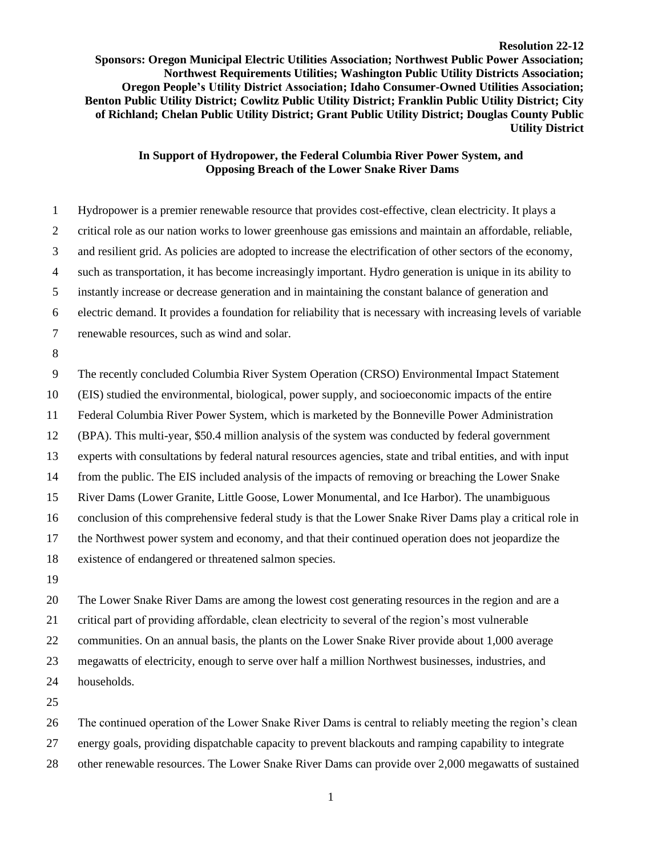## **Resolution 22-12**

**Sponsors: Oregon Municipal Electric Utilities Association; Northwest Public Power Association; Northwest Requirements Utilities; Washington Public Utility Districts Association; Oregon People's Utility District Association; Idaho Consumer-Owned Utilities Association; Benton Public Utility District; Cowlitz Public Utility District; Franklin Public Utility District; City of Richland; Chelan Public Utility District; Grant Public Utility District; Douglas County Public Utility District**

## **In Support of Hydropower, the Federal Columbia River Power System, and Opposing Breach of the Lower Snake River Dams**

 Hydropower is a premier renewable resource that provides cost-effective, clean electricity. It plays a critical role as our nation works to lower greenhouse gas emissions and maintain an affordable, reliable, and resilient grid. As policies are adopted to increase the electrification of other sectors of the economy, such as transportation, it has become increasingly important. Hydro generation is unique in its ability to instantly increase or decrease generation and in maintaining the constant balance of generation and electric demand. It provides a foundation for reliability that is necessary with increasing levels of variable renewable resources, such as wind and solar. The recently concluded Columbia River System Operation (CRSO) Environmental Impact Statement (EIS) studied the environmental, biological, power supply, and socioeconomic impacts of the entire Federal Columbia River Power System, which is marketed by the Bonneville Power Administration (BPA). This multi-year, \$50.4 million analysis of the system was conducted by federal government experts with consultations by federal natural resources agencies, state and tribal entities, and with input from the public. The EIS included analysis of the impacts of removing or breaching the Lower Snake River Dams (Lower Granite, Little Goose, Lower Monumental, and Ice Harbor). The unambiguous conclusion of this comprehensive federal study is that the Lower Snake River Dams play a critical role in the Northwest power system and economy, and that their continued operation does not jeopardize the existence of endangered or threatened salmon species. 

 The Lower Snake River Dams are among the lowest cost generating resources in the region and are a critical part of providing affordable, clean electricity to several of the region's most vulnerable communities. On an annual basis, the plants on the Lower Snake River provide about 1,000 average megawatts of electricity, enough to serve over half a million Northwest businesses, industries, and households.

 The continued operation of the Lower Snake River Dams is central to reliably meeting the region's clean energy goals, providing dispatchable capacity to prevent blackouts and ramping capability to integrate other renewable resources. The Lower Snake River Dams can provide over 2,000 megawatts of sustained